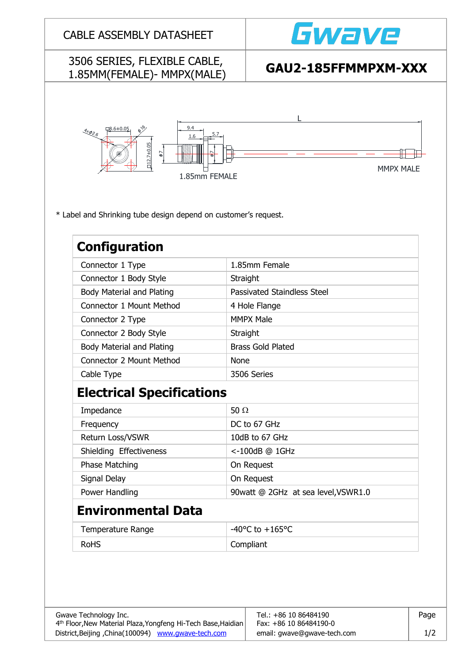